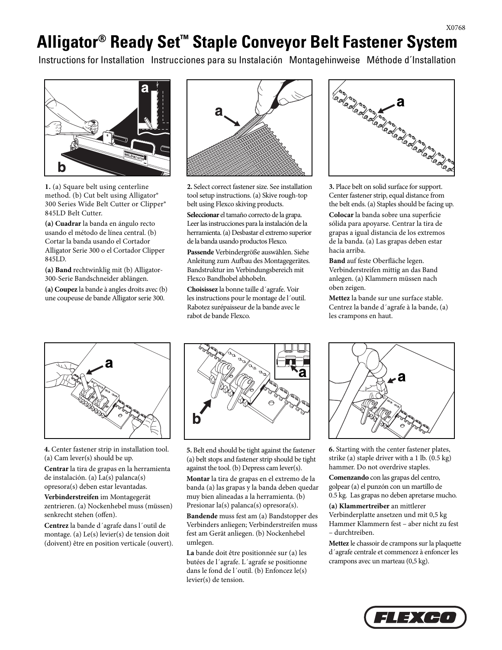## **Alligator® Ready Set™ Staple Conveyor Belt Fastener System**

Instructions for Installation Instrucciones para su Instalación Montagehinweise Méthode d´Installation



**1.** (a) Square belt using centerline method. (b) Cut belt using Alligator® 300 Series Wide Belt Cutter or Clipper® 845LD Belt Cutter.

**(a) Cuadrar** la banda en ángulo recto usando el método de línea central. (b) Cortar la banda usando el Cortador Alligator Serie 300 o el Cortador Clipper 845LD.

**(a) Band** rechtwinklig mit (b) Alligator-300-Serie Bandschneider ablängen.

**(a) Coupez** la bande à angles droits avec (b) une coupeuse de bande Alligator serie 300.



**2.** Select correct fastener size. See installation tool setup instructions. (a) Skive rough-top belt using Flexco skiving products.

**Seleccionar** el tamaño correcto de la grapa. Leer las instrucciones para la instalación de la herramienta. (a) Desbastar el extremo superior de la banda usando productos Flexco.

**Passende** Verbindergröße auswählen. Siehe Anleitung zum Aufbau des Montagegerätes. Bandstruktur im Verbindungsbereich mit Flexco Bandhobel abhobeln.

**Choisissez** la bonne taille d´agrafe. Voir les instructions pour le montage de l´outil. Rabotez surépaisseur de la bande avec le rabot de bande Flexco.



**3.** Place belt on solid surface for support. Center fastener strip, equal distance from the belt ends. (a) Staples should be facing up.

Colocar la banda sobre una superficie sólida para apoyarse. Centrar la tira de grapas a igual distancia de los extremos de la banda. (a) Las grapas deben estar hacia arriba.

**Band** auf feste Oberfläche legen. Verbinderstreifen mittig an das Band anlegen. (a) Klammern müssen nach oben zeigen.

**Mettez** la bande sur une surface stable. Centrez la bande d´agrafe à la bande, (a) les crampons en haut.



**4.** Center fastener strip in installation tool. (a) Cam lever(s) should be up.

**Centrar** la tira de grapas en la herramienta de instalación. (a) La(s) palanca(s) opresora(s) deben estar levantadas.

**Verbinderstreifen** im Montagegerät zentrieren. (a) Nockenhebel muss (müssen) senkrecht stehen (offen).

**Centrez** la bande d´agrafe dans l´outil de montage. (a) Le(s) levier(s) de tension doit (doivent) être en position verticale (ouvert).



**5.** Belt end should be tight against the fastener (a) belt stops and fastener strip should be tight against the tool. (b) Depress cam lever(s).

**Montar** la tira de grapas en el extremo de la banda (a) las grapas y la banda deben quedar muy bien alineadas a la herramienta. (b) Presionar la(s) palanca(s) opresora(s).

**Bandende** muss fest am (a) Bandstopper des Verbinders anliegen; Verbinderstreifen muss fest am Gerät anliegen. (b) Nockenhebel umlegen.

**La** bande doit être positionnée sur (a) les butées de l´agrafe. L´agrafe se positionne dans le fond de l´outil. (b) Enfoncez le(s) levier(s) de tension.



**6.** Starting with the center fastener plates, strike (a) staple driver with a 1 lb. (0.5 kg) hammer. Do not overdrive staples.

**Comenzando** con las grapas del centro, golpear (a) el punzón con un martillo de 0.5 kg. Las grapas no deben apretarse mucho.

**(a) Klammertreiber** an mittlerer Verbinderplatte ansetzen und mit 0,5 kg Hammer Klammern fest – aber nicht zu fest – durchtreiben.

**Mettez** le chassoir de crampons sur la plaquette d´agrafe centrale et commencez à enfoncer les crampons avec un marteau (0,5 kg).